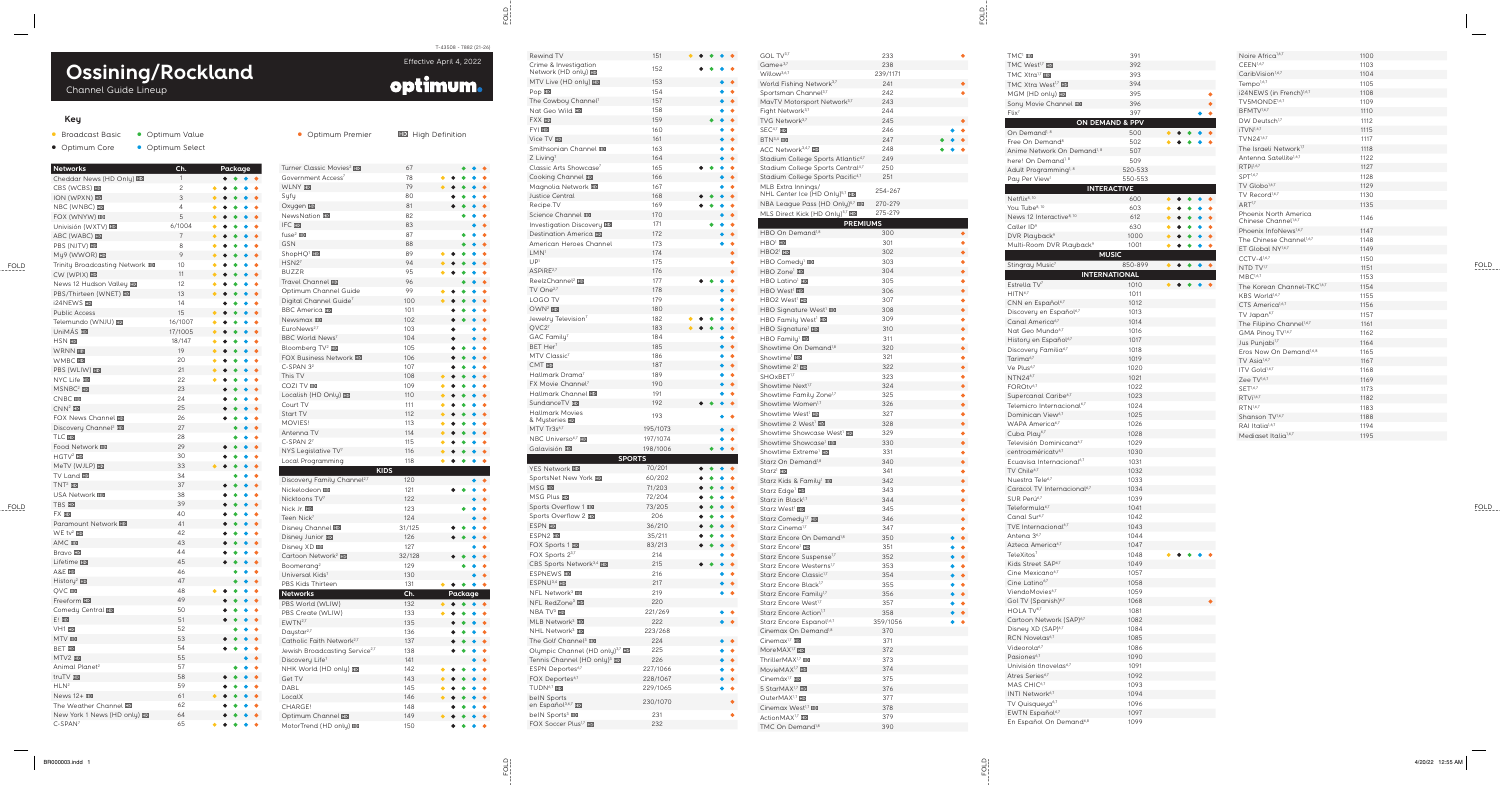## **Key**

- Broadcast Basic Optimum Value
- Optimum Core **•** Optimum Select

Channel Guide Lineup

T-43508 - 7882 (21-26)

Effective April 4, 2022

optimum.

**Networks Ch. Package** Cheddar News (HD Only) 11 • • • • CBS (WCBS) 2 • • • • • ION (WPXN) **ID** 3 • • • • • NBC (WNBC) 4 • • • • • FOX (WNYW) 5 • • • • • Univisión (WXTV) **ED** 6/1004 • • • • • **ABC (WABC) HD** 7 • • • • • PBS (NJTV) HD 8 • • • • • My9 (WWOR) 9 • • • • • Trinity Broadcasting Network **ID** 10 • • • • • CW (WPIX) **ID** 11 • • • • • News 12 Hudson Valley **HD** 12 • • • • • PBS/Thirteen (WNET) **HD** 13 • • • • • i24NEWS **ID** 224NEWS • • • • Public Access 25 and 25 and 25 and 25 and 26 and 26 and 26 and 26 and 26 and 26 and 26 and 26 and 26 and 26 and 26 and 26 and 26 and 26 and 26 and 26 and 26 and 26 and 26 and 26 and 26 and 26 and 26 and 26 and 26 and 26 an • • • • • Telemundo (WNJU) **HD** 16/1007 • • • • • UniMÁS **10** 17/1005 • • • • • HSN **HD** 18/147 • • • • • WRNN 19 • • • • • WMBC **HD** 20 • • • • • PBS (WLIW) HD 21 • • • • • NYC Life **ED** 22 • • • • •  $MSNBC<sup>2</sup>$  **ED** 23 • • • • CNBC **FD** 24 • • • •  $CNN<sup>2</sup>$  HD 25 • • • • FOX News Channel HD 26 • • • • Discovery Channel<sup>2</sup> **HD** 27 • • • TLC HD 28 • • • Food Network **HD** 29 • • • • HGTV<sup>2</sup> HD 30 • • • • MeTV (WJLP) **HD** 33 • • • • • TV Land **IID** 34 • • • TNT <sup>2</sup> 37 • • • • USA Network **HD** 38 • • • • TBS **ED** 39 • • • • FX **HD** 40 • • • • Paramount Network **HD** 41 • • • • WE tv<sup>2</sup> HD 42 • • • • AMC **HD** 43 • • • • Bravo HD 44 • • • • Lifetime **HD** 45 • • • • A&E **HD** 46 • • • History<sup>2</sup> **HD** 47 • • •  $QVC$  **HD**  $48$ • • • • • Freeform **HD** 49 • • • • Comedy Central HD 50 • • • • E! ED 31 • • • •  $V$ H1  $F<sub>1</sub>$   $\overline{F}$  52 • • •  $MTV$  53 • • • •  $BET$  FD  $54$ • • • •  $MTV2$  HD 35 • • Animal Planet 2 57 • • • truTV FD 38 • • • • HLN<sup>2</sup> 59 and 2012 and 2013 and 2014 and 2014 and 2014 and 2014 and 2014 and 2014 and 2014 and 2014 and 2014 and 2014 • • • • News 12+ **HD** 61 • • • • • The Weather Channel **ED** 62 • • • • New York 1 News (HD only) **HD** 64 • • • • C-SPAN 7  $\sim$  65 • • • • •

| Rewind TV                                                    | 151        |  |           |           | GOL TV3,7<br>Game $+3,7$                                               | 233<br>238 |           |
|--------------------------------------------------------------|------------|--|-----------|-----------|------------------------------------------------------------------------|------------|-----------|
| Crime & Investigation<br>Network (HD only) <b>ED</b>         | 152        |  |           |           | Willow <sup>3,6,7</sup>                                                | 239/1171   |           |
| MTV Live (HD only) <b>ID</b>                                 | 153        |  |           |           | World Fishing Network <sup>3,7</sup>                                   | 241        |           |
| Pop HD                                                       | 154        |  |           |           | Sportsman Channel <sup>3,7</sup>                                       | 242        | ٠         |
| The Cowboy Channel <sup>7</sup>                              | 157        |  |           |           | MavTV Motorsport Network <sup>3,7</sup>                                | 243        |           |
| Nat Geo Wild ED                                              | 158        |  |           |           | Fight Network <sup>3,7</sup>                                           | 244        |           |
| <b>FXX HD</b>                                                | 159        |  |           |           | TVG Network <sup>3,7</sup>                                             | 245        |           |
| FYI HD                                                       | 160        |  |           |           | $SEC4,7$ HD                                                            | 246        |           |
| Vice TV HD                                                   | 161        |  |           |           | $BTN3,4$ HD                                                            | 247        |           |
| Smithsonian Channel HD                                       | 163        |  |           |           | ACC Network <sup>3,4,7</sup> HD                                        | 248        |           |
| $Z$ Living <sup>7</sup>                                      | 164        |  |           |           | Stadium College Sports Atlantic <sup>4,7</sup>                         | 249        |           |
| Classic Arts Showcase <sup>7</sup>                           | 165        |  |           |           | Stadium College Sports Central <sup>4,7</sup>                          | 250        |           |
| Cooking Channel                                              | 166        |  |           |           | Stadium College Sports Pacific <sup>4,7</sup>                          | 251        |           |
| Magnolia Network <b>ED</b>                                   | 167        |  |           |           | MLB Extra Innings/<br>NHL Center Ice (HD Only) <sup>5,7</sup> HD       | 254-267    |           |
| <b>Justice Central</b>                                       | 168        |  |           |           | NBA League Pass (HD Only) <sup>5,7</sup> ED                            | 270-279    |           |
| Recipe.TV                                                    | 169        |  |           |           | MLS Direct Kick (HD Only) <sup>5,7</sup> HD                            | 275-279    |           |
| Science Channel                                              | 170        |  |           |           | <b>PREMIUMS</b>                                                        |            |           |
| Investigation Discovery HD<br><b>Destination America FD</b>  | 171<br>172 |  |           |           | HBO On Demand <sup>1,8</sup>                                           | 300        |           |
| American Heroes Channel                                      | 173        |  |           |           | $HBO1$ ED                                                              | 301        |           |
| LMN <sup>1</sup>                                             | 174        |  |           |           | $HBO21$ HD                                                             | 302        | $\bullet$ |
| UP <sup>1</sup>                                              | 175        |  |           | ۰         | HBO Comedy <sup>1</sup> HD                                             | 303        | ٠         |
| ASPIRE <sup>2,7</sup>                                        | 176        |  |           |           | HBO Zone <sup>1</sup> <b>III</b>                                       | 304        | ٠         |
| ReelzChannel <sup>2</sup> HD                                 | 177        |  |           |           | HBO Latino <sup>1</sup> <b>HD</b>                                      | 305        | ۰         |
| TV One <sup>2,7</sup>                                        | 178        |  |           |           | HBO West <sup>1</sup>                                                  | 306        |           |
| LOGO TV                                                      | 179        |  |           |           | HBO2 West <sup>1</sup>                                                 | 307        | ٠         |
| OWN <sup>2</sup> HD                                          | 180        |  |           |           | HBO Signature West <sup>1</sup> ED                                     | 308        | ٠         |
| Jewelry Television <sup>7</sup>                              | 182        |  |           |           | HBO Family West <sup>1</sup> <b>ED</b>                                 | 309        | ۰         |
| QVC27                                                        | 183        |  |           |           | HBO Signature <sup>1</sup> HD                                          | 310        | $\bullet$ |
| GAC Family <sup>7</sup>                                      | 184        |  |           |           | HBO Family <sup>1</sup> <b>IIID</b>                                    | 311        | ٠         |
| BET Her <sup>7</sup>                                         | 185        |  |           |           | Showtime On Demand <sup>1,8</sup>                                      | 320        | ۰         |
| MTV Classic <sup>7</sup>                                     | 186        |  |           |           | Showtime <sup>1</sup> ED                                               | 321        | $\bullet$ |
| CMT HD                                                       | 187        |  |           |           | Showtime 2 <sup>1</sup>                                                | 322        | $\bullet$ |
| Hallmark Drama <sup>7</sup><br>FX Movie Channel <sup>7</sup> | 189<br>190 |  |           |           | SHOxBET <sup>1,7</sup>                                                 | 323        | ۰         |
| Hallmark Channel ED                                          | 191        |  |           |           | Showtime Next <sup>1,7</sup>                                           | 324        |           |
| SundanceTV ED                                                | 192        |  |           |           | Showtime Family Zone <sup>1,7</sup>                                    | 325        | ۸         |
| <b>Hallmark Movies</b>                                       |            |  |           |           | Showtime Women <sup>1,7</sup><br>Showtime West <sup>1</sup>            | 326<br>327 |           |
| & Mysteries <b>HD</b>                                        | 193        |  |           |           | Showtime 2 West <sup>1</sup>                                           | 328        |           |
| MTV Tr3s <sup>6,7</sup>                                      | 195/1073   |  |           |           | Showtime Showcase West <sup>1</sup>                                    | 329        | ۰         |
| NBC Universo <sup>6,7</sup> HD                               | 197/1074   |  |           |           | Showtime Showcase <sup>1</sup> ED                                      | 330        |           |
| Galavisión <b>FD</b>                                         | 198/1006   |  | $\bullet$ |           | Showtime Extreme <sup>1</sup>                                          | 331        | ۰         |
| <b>SPORTS</b>                                                |            |  |           |           | Starz On Demand <sup>1,8</sup>                                         | 340        |           |
| <b>YES Network ED</b>                                        | 70/201     |  |           |           | Starz <sup>1</sup> HD                                                  | 341        | ۰         |
| SportsNet New York <b>HD</b>                                 | 60/202     |  |           |           | Starz Kids & Family <sup>1</sup>                                       | 342        | $\bullet$ |
| <b>MSG HD</b>                                                | 71/203     |  |           |           | Starz Edge <sup>1</sup>                                                | 343        | ۰         |
| <b>MSG Plus IID</b>                                          | 72/204     |  |           |           | Starz in Black <sup>1,7</sup>                                          | 344        |           |
| Sports Overflow 1 HD                                         | 73/205     |  |           |           | Starz West <sup>1</sup> HD                                             | 345        | ۰         |
| Sports Overflow 2 ED                                         | 206        |  |           |           | Starz Comedy <sup>1,7</sup> HD                                         | 346        |           |
| ESPN ED                                                      | 36/210     |  |           |           | Starz Cinema <sup>1,7</sup>                                            | 347        | ۰         |
| ESPN2 ID                                                     | 35/211     |  |           |           | Starz Encore On Demand <sup>1,8</sup>                                  | 350        | $\bullet$ |
| FOX Sports 1                                                 | 83/213     |  |           |           | Starz Encore <sup>1</sup> HD                                           | 351        | $\bullet$ |
| FOX Sports 23,7<br>CBS Sports Network <sup>3,4</sup> HD      | 214<br>215 |  |           |           | Starz Encore Suspense <sup>1,7</sup>                                   | 352        | $\bullet$ |
| ESPNEWS <b>ID</b>                                            | 216        |  |           |           | Starz Encore Westerns <sup>1,7</sup>                                   | 353        | ٠         |
| ESPNU <sup>3,4</sup> HD                                      | 217        |  |           |           | Starz Encore Classic <sup>1,7</sup>                                    | 354        |           |
| NFL Network <sup>3</sup> HD                                  | 219        |  |           | ٠         | Starz Encore Black <sup>1,7</sup>                                      | 355<br>356 | $\bullet$ |
| NFL RedZone <sup>3</sup> HD                                  | 220        |  |           |           | Starz Encore Family <sup>1,7</sup><br>Starz Encore West <sup>1,7</sup> | 357        | $\bullet$ |
| NBA TV <sup>3</sup> HD                                       | 221/269    |  |           | ٠         | Starz Encore Action <sup>1,7</sup>                                     | 358        |           |
| MLB Network <sup>3</sup> ID                                  | 222        |  |           | $\bullet$ | Starz Encore Espanol <sup>1,6,7</sup>                                  | 359/1056   |           |
| NHL Network <sup>3</sup> HD                                  | 223/268    |  |           |           | Cinemax On Demand <sup>1,8</sup>                                       | 370        |           |
| The Golf Channel <sup>3</sup>                                | 224        |  |           | $\bullet$ | Cinemax <sup>1,7</sup> $H2$                                            | 371        |           |
| Olympic Channel (HD only) <sup>3,7</sup> HD                  | 225        |  |           |           | MoreMAX <sup>1,7</sup>                                                 | 372        |           |
| Tennis Channel (HD only) <sup>3</sup> ID                     | 226        |  |           |           | ThrillerMAX <sup>1,7</sup> HD                                          | 373        |           |
| ESPN Deportes <sup>6,7</sup>                                 | 227/1066   |  |           |           | MovieMAX <sup>1,7</sup> ED                                             | 374        |           |
| FOX Deportes <sup>6,7</sup>                                  | 228/1067   |  |           |           | Cinemáx <sup>1,7</sup> HD                                              | 375        |           |
| TUDN <sup>6,7</sup> HD                                       | 229/1065   |  |           |           | 5 StarMAX <sup>1,7</sup> HD                                            | 376        |           |
| belN Sports                                                  | 230/1070   |  |           |           | OuterMAX <sup>1,7</sup> HD                                             | 377        |           |
| en Español <sup>3,6,7</sup> HD                               |            |  |           |           | Cinemax West <sup>1,7</sup> HD                                         | 378        |           |
| belN Sports <sup>3</sup>                                     | 231        |  |           |           | ActionMAX <sup>1,7</sup> HD                                            | 379        |           |
| FOX Soccer Plus <sup>1,7</sup> HD                            | 232        |  |           |           | TMC On Demand <sup>1,8</sup>                                           | 390        |           |
|                                                              |            |  |           |           |                                                                        |            |           |

| GOL TV3,7                                                                                       | 233             |  |
|-------------------------------------------------------------------------------------------------|-----------------|--|
| Game $+^{3,7}$                                                                                  | 238             |  |
| Willow <sup>3,6,7</sup><br>World Fishing Network <sup>3,7</sup>                                 | 239/1171<br>241 |  |
| Sportsman Channel <sup>3,7</sup>                                                                | 242             |  |
| MavTV Motorsport Network <sup>3,7</sup>                                                         | 243             |  |
| Fight Network <sup>3,7</sup>                                                                    | 244             |  |
| TVG Network <sup>3,7</sup>                                                                      | 245             |  |
| $SEC4,7$ HD                                                                                     | 246             |  |
| $BTN3,4$ HD                                                                                     | 247             |  |
| ACC Network <sup>3,4,7</sup> HD                                                                 | 248<br>249      |  |
| Stadium College Sports Atlantic <sup>4,7</sup><br>Stadium College Sports Central <sup>4,7</sup> | 250             |  |
| Stadium College Sports Pacific <sup>4,7</sup>                                                   | 251             |  |
| MLB Extra Innings/                                                                              | 254-267         |  |
| NHL Center Ice (HD Only) <sup>5,7</sup> <b>ED</b>                                               |                 |  |
| NBA League Pass (HD Only) <sup>5,7</sup> HD                                                     | 270-279         |  |
| <b>PREMIUMS</b>                                                                                 | 275-279         |  |
| HBO On Demand <sup>1,8</sup>                                                                    | 300             |  |
| HBO <sup>1</sup> 即                                                                              | 301             |  |
| $HBO2^1$                                                                                        | 302             |  |
| HBO Comedy <sup>1</sup> HD                                                                      | 303             |  |
| HBO Zone <sup>1</sup> HD                                                                        | 304             |  |
| <b>HBO</b> Latino <sup>1</sup> <b>ED</b>                                                        | 305             |  |
| HBO West <sup>1</sup>                                                                           | 306             |  |
| HBO2 West <sup>1</sup> HD                                                                       | 307<br>308      |  |
| HBO Signature West <sup>1</sup><br>HBO Family West <sup>1</sup> <b>ED</b>                       | 309             |  |
| HBO Signature <sup>1</sup> HD                                                                   | 310             |  |
| HBO Family <sup>1</sup> HD                                                                      | 311             |  |
| Showtime On Demand <sup>1,8</sup>                                                               | 320             |  |
| Showtime <sup>1</sup> ID                                                                        | 321             |  |
| Showtime 2 <sup>1</sup> HD                                                                      | 322             |  |
| SHOxBET <sup>1,7</sup>                                                                          | 323             |  |
| Showtime Next <sup>1,7</sup><br>Showtime Family Zone <sup>1,7</sup>                             | 324<br>325      |  |
| Showtime Women <sup>1,7</sup>                                                                   | 326             |  |
| Showtime West <sup>1</sup>                                                                      | 327             |  |
| Showtime 2 West <sup>1</sup>                                                                    | 328             |  |
| Showtime Showcase West <sup>1</sup> HD                                                          | 329             |  |
| Showtime Showcase <sup>1</sup> HD                                                               | 330             |  |
| Showtime Extreme <sup>1</sup> HD                                                                | 331             |  |
| Starz On Demand <sup>1,8</sup><br>Starz <sup>1</sup> HD                                         | 340<br>341      |  |
| Starz Kids & Family <sup>1</sup> <b>ID</b>                                                      | 342             |  |
| Starz Edge <sup>1</sup>                                                                         | 343             |  |
| Starz in Black <sup>1,7</sup>                                                                   | 344             |  |
| Starz West <sup>1</sup>                                                                         | 345             |  |
| Starz Comedy <sup>1,7</sup> HD                                                                  | 346             |  |
| Starz Cinema <sup>1,7</sup>                                                                     | 347             |  |
| Starz Encore On Demand <sup>1,8</sup><br>Starz Encore <sup>1</sup> <b>HD</b>                    | 350<br>351      |  |
| Starz Encore Suspense <sup>1,7</sup>                                                            | 352             |  |
| Starz Encore Westerns <sup>1,7</sup>                                                            | 353             |  |
| Starz Encore Classic <sup>1,7</sup>                                                             | 354             |  |
| Starz Encore Black <sup>1,7</sup>                                                               | 355             |  |
| Starz Encore Family <sup>1,7</sup>                                                              | 356             |  |
| Starz Encore West <sup>1,7</sup>                                                                | 357             |  |
| Starz Encore Action <sup>1,7</sup><br>Starz Encore Espanol <sup>1,6,7</sup>                     | 358<br>359/1056 |  |
| Cinemax On Demand <sup>1,8</sup>                                                                | 370             |  |
| Cinemax <sup>1,7</sup>                                                                          | 371             |  |
| MoreMAX <sup>1,7</sup> HD                                                                       | 372             |  |
| ThrillerMAX <sup>1,7</sup> ED                                                                   | 373             |  |
| MovieMAX <sup>1,7</sup> HD                                                                      | 374             |  |
| Cinemáx <sup>1,7</sup> HD                                                                       | 375             |  |
| 5 StarMAX <sup>1,7</sup> HD<br>OuterMAX <sup>1,7</sup> HD                                       | 376<br>377      |  |
| Cinemax West <sup>1,7</sup> ED                                                                  | 378             |  |
| ActionMAX <sup>1,7</sup>                                                                        | 379             |  |
| TMC On Demand <sup>1,8</sup>                                                                    | 390             |  |

| Turner Classic Movies <sup>2</sup> HD                           | 67         |           |                        |           | $\bullet$                |
|-----------------------------------------------------------------|------------|-----------|------------------------|-----------|--------------------------|
| Government Access <sup>7</sup>                                  | 78         | ۰         | 0                      |           |                          |
| <b>WLNY HD</b>                                                  | 79         |           | $\bullet$              |           | $\bullet$                |
| Syfy                                                            | 80         |           |                        |           | ¢                        |
| Oxygen <b>HD</b>                                                | 81         |           |                        |           |                          |
| NewsNation <b>HD</b>                                            | 82         |           |                        |           | Ò                        |
| <b>IFC HD</b>                                                   | 83         |           |                        | $\bullet$ | ¢                        |
| fuse <sup>2</sup> $E$                                           | 87         |           |                        |           | Ó                        |
| <b>GSN</b>                                                      | 88         |           |                        |           | $\bullet$                |
| ShopHQ <sup>7</sup> HD                                          | 89         |           |                        | ۰         | ¢                        |
| HSN2 <sup>7</sup>                                               | 94         |           |                        |           | Ō                        |
| <b>BUZZR</b>                                                    | 95         |           |                        |           | ò                        |
| Travel Channel ED                                               | 96         |           |                        | $\bullet$ | $\bullet$                |
| Optimum Channel Guide                                           | 99         | ٠         |                        |           | ¢                        |
| Digital Channel Guide <sup>7</sup>                              | 100        |           | $\bullet$              |           | ¢                        |
| <b>BBC America HD</b>                                           | 101        |           |                        |           | ¢                        |
| Newsmax <b>ID</b>                                               | 102        |           |                        |           |                          |
| EuroNews <sup>2,7</sup>                                         | 103        |           | o                      |           | Ō                        |
| BBC World News <sup>7</sup>                                     | 104        |           |                        |           | ¢                        |
| Bloomberg TV <sup>2</sup> HD                                    | 105        |           | 0                      |           | Ó                        |
| <b>FOX Business Network ED</b>                                  | 106        |           | 6<br>٠                 |           | $\bullet$                |
| $C-SPAN 32$                                                     | 107        |           |                        | $\bullet$ | ¢                        |
| This TV                                                         | 108        |           | $\bullet$<br>٠         |           | ò                        |
| <b>COZI TV HD</b>                                               | 109        | ۰         | $\bullet$<br>۰         |           | ¢                        |
| Localish (HD Only) ID                                           | 110        | $\bullet$ | $\bullet$<br>$\bullet$ | $\bullet$ | ¢                        |
| Court TV                                                        | 111        |           | 0                      |           | Ó                        |
| Start TV                                                        | 112        |           | $\bullet$<br>$\bullet$ | $\bullet$ | ¢                        |
| MOVIES!                                                         | 113        | ۰         | $\bullet$<br>0         |           | ¢                        |
| Antenna TV                                                      | 114        |           | $\bullet$              |           | Ò                        |
| $C-SPAN 27$                                                     | 115        |           |                        |           | Ò                        |
| NYS Legislative TV <sup>7</sup>                                 | 116        | $\bullet$ | $\bullet$              |           | ¢                        |
| Local Programming                                               | 118        | $\bullet$ |                        |           | ¢                        |
|                                                                 |            |           |                        |           |                          |
| <b>KIDS</b>                                                     |            |           |                        |           |                          |
| Discovery Family Channel <sup>2,7</sup>                         | 120        |           |                        |           | ¢                        |
| Nickelodeon <b>HD</b>                                           | 121        |           |                        |           | ¢                        |
| Nicktoons TV <sup>7</sup>                                       | 122        |           |                        |           | $\bullet$                |
| Nick Jr. HD                                                     | 123        |           |                        |           | ¢                        |
| Teen Nick <sup>7</sup>                                          | 124        |           |                        |           | Ō                        |
| Disney Channel HD                                               | 31/125     |           |                        |           | Ò                        |
| Disney Junior <b>HD</b>                                         | 126        |           |                        |           | ¢                        |
| Disney XD ED                                                    | 127        |           |                        |           |                          |
| Cartoon Network <sup>2</sup> HD                                 | 32/128     |           |                        |           | Ò                        |
| Boomerang <sup>2</sup>                                          | 129        |           |                        |           |                          |
| Universal Kids <sup>7</sup>                                     | 130        |           |                        |           | $\bullet$                |
| PBS Kids Thirteen                                               | 131        |           |                        |           | $\overline{\phantom{a}}$ |
| <b>Networks</b>                                                 | Ch.        |           | Package                |           |                          |
| PBS World (WLIW)                                                | 132        |           |                        |           |                          |
| PBS Create (WLIW)                                               | 133        |           |                        |           |                          |
| EWTN <sup>2,7</sup>                                             | 135<br>136 |           |                        |           | ¢                        |
| Daystar <sup>2,7</sup><br>Catholic Faith Network <sup>2,7</sup> | 137        |           |                        |           | $\bullet$                |
|                                                                 | 138        |           |                        |           |                          |
| Jewish Broadcasting Service <sup>2,7</sup>                      |            |           |                        |           | ¢                        |
| Discovery Life <sup>7</sup>                                     | 141<br>142 |           |                        |           | ¢<br>¢                   |
| NHK World (HD only) ID<br>Get TV                                | 143        |           |                        |           | ¢                        |
| DABL                                                            | 145        |           |                        |           | Ó                        |
| LocalX                                                          | 146        |           |                        |           | $\bullet$                |
| CHARGE!                                                         | 148        |           |                        |           | ٠                        |

MotorTrend (HD only) **HD** 150

• • • •

● Optimum Premier **HD** High Definition

| TMC <sup>1</sup> HD                                                    | 391          |                        |                        |           |
|------------------------------------------------------------------------|--------------|------------------------|------------------------|-----------|
| TMC West <sup>1,7</sup> HD                                             | 392          |                        |                        |           |
| TMC Xtra <sup>1,7</sup> HD                                             | 393          |                        |                        |           |
| TMC Xtra West <sup>1,7</sup> HD                                        | 394          |                        |                        |           |
| MGM (HD only) HD                                                       | 395          |                        |                        |           |
| Sony Movie Channel <b>HD</b>                                           | 396          |                        |                        |           |
| $F$ lix <sup>7</sup>                                                   | 397          |                        |                        |           |
| ON DEMAND & PPV                                                        |              |                        |                        |           |
| On Demand <sup>1, 8</sup>                                              | 500          |                        |                        |           |
| Free On Demand <sup>8</sup>                                            | 502          |                        |                        |           |
| Anime Network On Demand <sup>1, 8</sup>                                | 507          |                        |                        |           |
| here! On Demand <sup>1, 8</sup>                                        | 509          |                        |                        |           |
| Adult Programming <sup>1, 8</sup>                                      | 520-533      |                        |                        |           |
| Pay Per View <sup>1</sup>                                              | 550-553      |                        |                        |           |
| <b>INTERACTIVE</b><br>Netflix <sup>8, 10</sup>                         | 600          | ۰<br>$\bullet$         |                        |           |
| You Tube <sup>8, 10</sup>                                              | 603          |                        |                        |           |
| News 12 Interactive <sup>8, 10</sup>                                   | 612          |                        |                        |           |
| Caller $ID9$                                                           | 630          |                        |                        |           |
| DVR Playback <sup>9</sup>                                              | 1000         |                        |                        |           |
| Multi-Room DVR Playback <sup>9</sup>                                   | 1001         |                        |                        |           |
| <b>MUSIC</b>                                                           |              |                        |                        |           |
| Stingray Music <sup>7</sup>                                            | 850-899      | $\bullet$<br>$\bullet$ | $\bullet$<br>$\bullet$ | $\bullet$ |
| <b>INTERNATIONAL</b>                                                   |              |                        |                        |           |
| Estrella TV <sup>7</sup>                                               | 1010         |                        |                        |           |
| HITN <sup>6,7</sup>                                                    | 1011         |                        |                        |           |
| CNN en Español <sup>6,7</sup>                                          | 1012         |                        |                        |           |
| Discovery en Español <sup>6,7</sup>                                    | 1013         |                        |                        |           |
| Canal America <sup>6,7</sup><br>Nat Geo Mundo <sup>6,7</sup>           | 1014<br>1016 |                        |                        |           |
| History en Español <sup>6,7</sup>                                      | 1017         |                        |                        |           |
| Discovery Familia <sup>6,7</sup>                                       | 1018         |                        |                        |           |
| Tarima <sup>6,7</sup>                                                  | 1019         |                        |                        |           |
| Ve Plus <sup>6,7</sup>                                                 | 1020         |                        |                        |           |
| NTN24 <sup>6,7</sup>                                                   | 1021         |                        |                        |           |
| FOROtv <sup>6,7</sup>                                                  | 1022         |                        |                        |           |
| Supercanal Caribe <sup>6,7</sup>                                       | 1023         |                        |                        |           |
| Telemicro Internacional <sup>6,7</sup>                                 | 1024         |                        |                        |           |
| Dominican View <sup>6,7</sup>                                          | 1025         |                        |                        |           |
| WAPA America <sup>6,7</sup>                                            | 1026         |                        |                        |           |
| Cuba Play <sup>6,7</sup>                                               | 1028<br>1029 |                        |                        |           |
| Televisión Dominicana <sup>6,7</sup><br>centroaméricatv <sup>6,7</sup> | 1030         |                        |                        |           |
| Ecuavisa Internacional <sup>6,7</sup>                                  | 1031         |                        |                        |           |
| TV Chile <sup>6,7</sup>                                                | 1032         |                        |                        |           |
| Nuestra Tele <sup>6,7</sup>                                            | 1033         |                        |                        |           |
| Caracol TV Internacional <sup>6,7</sup>                                | 1034         |                        |                        |           |
| SUR Perú <sup>6,7</sup>                                                | 1039         |                        |                        |           |
| Teleformula <sup>6,7</sup>                                             | 1041         |                        |                        |           |
| Canal Sur <sup>6,7</sup>                                               | 1042         |                        |                        |           |
| TVE Internacional <sup>6,7</sup>                                       | 1043         |                        |                        |           |
| Antena 36,7                                                            | 1044         |                        |                        |           |
| Azteca America <sup>6,7</sup><br>TeleXitos <sup>7</sup>                | 1047<br>1048 |                        |                        |           |
| Kids Street SAP <sup>6,7</sup>                                         | 1049         |                        |                        |           |
| Cine Mexicano <sup>6,7</sup>                                           | 1057         |                        |                        |           |
| Cine Latino <sup>6,7</sup>                                             | 1058         |                        |                        |           |
| ViendoMovies <sup>6,7</sup>                                            | 1059         |                        |                        |           |
| Gol TV (Spanish) <sup>6,7</sup>                                        | 1068         |                        |                        |           |
| HOLA TV <sup>6,7</sup>                                                 | 1081         |                        |                        |           |
| Cartoon Network (SAP) <sup>6,7</sup>                                   | 1082         |                        |                        |           |
| Disney XD (SAP) <sup>6,7</sup>                                         | 1084         |                        |                        |           |
| RCN Novelas <sup>6,7</sup>                                             | 1085         |                        |                        |           |
| Videorola <sup>6,7</sup>                                               | 1086         |                        |                        |           |
| Pasiones <sup>6,7</sup>                                                | 1090         |                        |                        |           |
| Univisión tlnovelas <sup>6,7</sup>                                     | 1091         |                        |                        |           |
| Atres Series <sup>6,7</sup><br>MAS CHIC <sup>6,7</sup>                 | 1092<br>1093 |                        |                        |           |
| INTI Network <sup>6,7</sup>                                            | 1094         |                        |                        |           |
| TV Quisqueya <sup>6,7</sup>                                            | 1096         |                        |                        |           |
| EWTN Español <sup>6,7</sup>                                            | 1097         |                        |                        |           |
| En Español On Demand <sup>6,8</sup>                                    | 1099         |                        |                        |           |

| Noire Africa <sup>1,6,7</sup>                             | 1100 |
|-----------------------------------------------------------|------|
| CEEN <sub>1,6,7</sub>                                     | 1103 |
| CaribVision <sup>1,6,7</sup>                              | 1104 |
| Tempo <sup>1,6,7</sup>                                    | 1105 |
| i24NEWS (in French) <sup>1,6,7</sup>                      | 1108 |
| TV5MONDE <sup>1,6,7</sup>                                 | 1109 |
| BFMTV <sup>1,6,7</sup>                                    | 1110 |
| DW Deutsch <sup>1,7</sup>                                 | 1112 |
| iTVN <sup>1,6,7</sup>                                     | 1115 |
| TVN24 <sup>1,6,7</sup>                                    | 1117 |
| The Israeli Network <sup>1,7</sup>                        | 1118 |
| Antenna Satellite <sup>1,6,7</sup>                        | 1122 |
| RTPi <sup>1,6,7</sup>                                     | 1127 |
| SPT <sup>1,6,7</sup>                                      | 1128 |
| TV Globo <sup>1,6,7</sup>                                 | 1129 |
| TV Record <sup>1,6,7</sup>                                | 1130 |
| $ART^{1,7}$                                               | 1135 |
| Phoenix North America<br>Chinese Channel <sup>1,6,7</sup> | 1146 |
| Phoenix InfoNews <sup>1,6,7</sup>                         | 1147 |
| The Chinese Channel <sup>1,6,7</sup>                      | 1148 |
| ET Global NY <sup>1,6,7</sup>                             | 1149 |
| $CCTV - 4^{1,6,7}$                                        | 1150 |
| NTD TV <sup>1,7</sup>                                     | 1151 |
| MBC <sup>1,6,7</sup>                                      | 1153 |
| The Korean Channel-TKC <sup>1,6,7</sup>                   | 1154 |
| KBS World <sup>1,6,7</sup>                                | 1155 |
| CTS America <sup>1,6,7</sup>                              | 1156 |
| TV Japan <sup>6,7</sup>                                   | 1157 |
| The Filipino Channel <sup>1,6,7</sup>                     | 1161 |
| GMA Pinoy TV <sup>1,6,7</sup>                             | 1162 |
| Jus Punjabi <sup>1,7</sup>                                | 1164 |
| Eros Now On Demand <sup>1,6,8</sup>                       | 1165 |
| TV Asi $a^{1,6,7}$                                        | 1167 |
| ITV Gold <sup>1,6,7</sup>                                 | 1168 |
| Zee TV <sup>1,6,7</sup>                                   | 1169 |
| SET <sup>1,6,7</sup>                                      | 1173 |
| RTVi <sup>1,6,7</sup>                                     | 1182 |
| $RTN^{1,6,7}$                                             | 1183 |
| Shanson TV <sup>1,6,7</sup>                               | 1188 |
| RAI Italia <sup>1,6,7</sup>                               | 1194 |
| Mediaset Italia <sup>1,6,7</sup>                          | 1195 |

## **Ossining/Rockland**